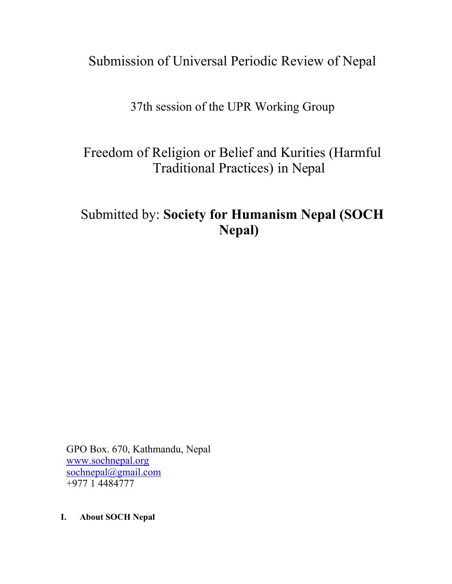Submission of Universal Periodic Review of Nepal

37th session of the UPR Working Group

Freedom of Religion or Belief and Kurities (Harmful Traditional Practices) in Nepal

# Submitted by: **Society for Humanism Nepal (SOCH Nepal)**

GPO Box. 670, Kathmandu, Nepal [www.sochnepal.org](http://www.sochnepal.org) [sochnepal@gmail.com](mailto:sochnepal@gmail.com) +977 1 4484777

**I. About SOCH Nepal**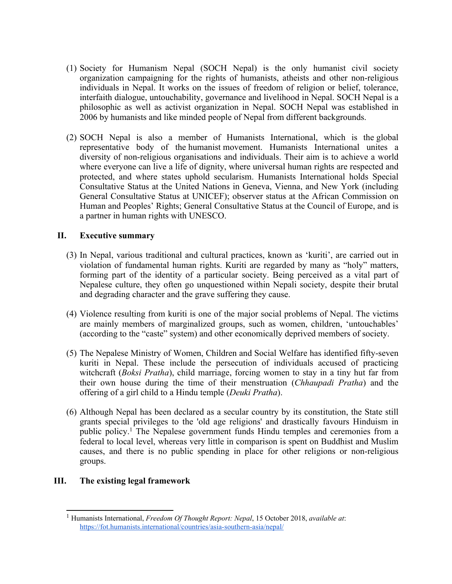- (1) Society for Humanism Nepal (SOCH Nepal) is the only humanist civil society organization campaigning for the rights of humanists, atheists and other non-religious individuals in Nepal. It works on the issues of freedom of religion or belief, tolerance, interfaith dialogue, untouchability, governance and livelihood in Nepal. SOCH Nepal is <sup>a</sup> philosophic as well as activist organization in Nepal. SOCH Nepal was established in 2006 by humanists and like minded people of Nepal from different backgrounds.
- (2) SOCH Nepal is also <sup>a</sup> member of Humanists International, which is the global representative body of the [humanist](https://humanists.international/what-is-humanism/) movement. Humanists International unites <sup>a</sup> diversity of non-religious organisations and individuals. Their aim is to achieve <sup>a</sup> world where everyone can live <sup>a</sup> life of dignity, where universal human rights are respected and protected, and where states uphold secularism. Humanists International holds Special Consultative Status at the United Nations in Geneva, Vienna, and New York (including General Consultative Status at UNICEF); observer status at the African Commission on Human and Peoples' Rights; General Consultative Status at the Council of Europe, and is <sup>a</sup> partner in human rights with UNESCO.

## **II. Executive summary**

- (3) In Nepal, various traditional and cultural practices, known as 'kuriti', are carried out in violation of fundamental human rights. Kuriti are regarded by many as "holy" matters, forming par<sup>t</sup> of the identity of <sup>a</sup> particular society. Being perceived as <sup>a</sup> vital par<sup>t</sup> of Nepalese culture, they often go unquestioned within Nepali society, despite their brutal and degrading character and the grave suffering they cause.
- (4) Violence resulting from kuriti is one of the major social problems of Nepal. The victims are mainly members of marginalized groups, such as women, children, 'untouchables' (according to the "caste" system) and other economically deprived members of society.
- (5) The Nepalese Ministry of Women, Children and Social Welfare has identified fifty-seven kuriti in Nepal. These include the persecution of individuals accused of practicing witchcraft (*Boksi Pratha*), child marriage, forcing women to stay in <sup>a</sup> tiny hut far from their own house during the time of their menstruation (*Chhaupadi Pratha*) and the offering of <sup>a</sup> girl child to <sup>a</sup> Hindu temple (*Deuki Pratha*).
- (6) Although Nepal has been declared as <sup>a</sup> secular country by its constitution, the State still grants special privileges to the 'old age religions' and drastically favours Hinduism in public policy. 1 The Nepalese governmen<sup>t</sup> funds Hindu temples and ceremonies from <sup>a</sup> federal to local level, whereas very little in comparison is spen<sup>t</sup> on Buddhist and Muslim causes, and there is no public spending in place for other religions or non-religious groups.

## **III. The existing legal framework**

<sup>1</sup> Humanists International, *Freedom Of Thought Report: Nepal*, 15 October 2018, *available at*: <https://fot.humanists.international/countries/asia-southern-asia/nepal/>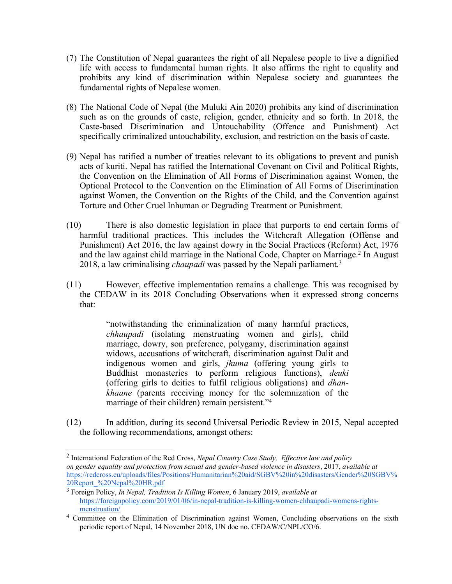- (7) The Constitution of Nepal guarantees the right of all Nepalese people to live <sup>a</sup> dignified life with access to fundamental human rights. It also affirms the right to equality and prohibits any kind of discrimination within Nepalese society and guarantees the fundamental rights of Nepalese women.
- (8) The National Code of Nepal (the Muluki Ain 2020) prohibits any kind of discrimination such as on the grounds of caste, religion, gender, ethnicity and so forth. In 2018, the Caste-based Discrimination and Untouchability (Offence and Punishment) Act specifically criminalized untouchability, exclusion, and restriction on the basis of caste.
- (9) Nepal has ratified <sup>a</sup> number of treaties relevant to its obligations to preven<sup>t</sup> and punish acts of kuriti. Nepal has ratified the International Covenant on Civil and Political Rights, the Convention on the Elimination of All Forms of Discrimination against Women, the Optional Protocol to the Convention on the Elimination of All Forms of Discrimination against Women, the Convention on the Rights of the Child, and the Convention against Torture and Other Cruel Inhuman or Degrading Treatment or Punishment.
- (10) There is also domestic legislation in place that purports to end certain forms of harmful traditional practices. This includes the Witchcraft Allegation (Offense and Punishment) Act 2016, the law against dowry in the Social Practices (Reform) Act, 1976 and the law against child marriage in the National Code, Chapter on Marriage. 2 In August 2018, <sup>a</sup> law criminalising *chaupadi* was passed by the Nepali parliament. 3
- (11) However, effective implementation remains <sup>a</sup> challenge. This was recognised by the CEDAW in its 2018 Concluding Observations when it expressed strong concerns that:

"notwithstanding the criminalization of many harmful practices, *chhaupadi* (isolating menstruating women and girls), child marriage, dowry, son preference, polygamy, discrimination against widows, accusations of witchcraft, discrimination against Dalit and indigenous women and girls, *jhuma* (offering young girls to Buddhist monasteries to perform religious functions), *deuki* (offering girls to deities to fulfil religious obligations) and *dhankhaane* (parents receiving money for the solemnization of the marriage of their children) remain persistent."<sup>4</sup>

(12) In addition, during its second Universal Periodic Review in 2015, Nepal accepted the following recommendations, amongs<sup>t</sup> others:

<sup>2</sup> International Federation of the Red Cross, *Nepal Country Case Study, Effective law and policy* on gender equality and protection from sexual and gender-based violence in disasters, 2017, available at [https://redcross.eu/uploads/files/Positions/Humanitarian%20aid/SGBV%20in%20disasters/Gender%20SGBV%](https://redcross.eu/uploads/files/Positions/Humanitarian%20aid/SGBV%20in%20disasters/Gender%20SGBV%20Report_%20Nepal%20HR.pdf) [20Report\\_%20Nepal%20HR.pdf](https://redcross.eu/uploads/files/Positions/Humanitarian%20aid/SGBV%20in%20disasters/Gender%20SGBV%20Report_%20Nepal%20HR.pdf)

<sup>3</sup> Foreign Policy, *In Nepal, Tradition Is Killing Women*, 6 January 2019, *available at* [https://foreignpolicy.com/2019/01/06/in-nepal-tradition-is-killing-women-chhaupadi-womens-rights](https://foreignpolicy.com/2019/01/06/in-nepal-tradition-is-killing-women-chhaupadi-womens-rights-menstruation/)[menstruation/](https://foreignpolicy.com/2019/01/06/in-nepal-tradition-is-killing-women-chhaupadi-womens-rights-menstruation/)

<sup>&</sup>lt;sup>4</sup> Committee on the Elimination of Discrimination against Women, Concluding observations on the sixth periodic repor<sup>t</sup> of Nepal, 14 November 2018, UN doc no. CEDAW/C/NPL/CO/6.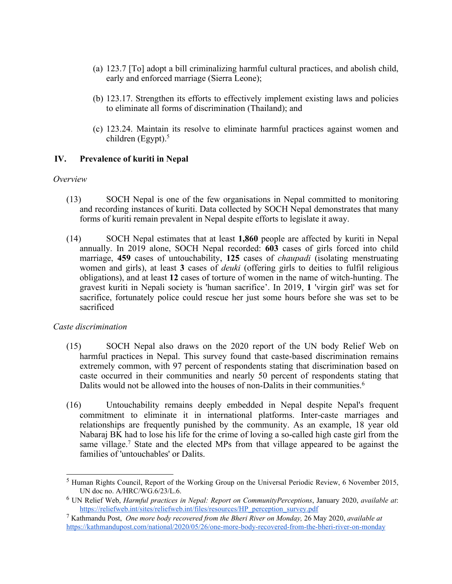- (a) 123.7 [To] adopt <sup>a</sup> bill criminalizing harmful cultural practices, and abolish child, early and enforced marriage (Sierra Leone);
- (b) 123.17. Strengthen its efforts to effectively implement existing laws and policies to eliminate all forms of discrimination (Thailand); and
- (c) 123.24. Maintain its resolve to eliminate harmful practices against women and children (Egypt). 5

## **IV. Prevalence of kuriti in Nepal**

#### *Overview*

- (13) SOCH Nepal is one of the few organisations in Nepal committed to monitoring and recording instances of kuriti. Data collected by SOCH Nepal demonstrates that many forms of kuriti remain prevalent in Nepal despite efforts to legislate it away.
- (14) SOCH Nepal estimates that at least **1,860** people are affected by kuriti in Nepal annually. In 2019 alone, SOCH Nepal recorded: **603** cases of girls forced into child marriage, **459** cases of untouchability, **125** cases of *chaupadi* (isolating menstruating women and girls), at least **3** cases of *deuki* (offering girls to deities to fulfil religious obligations), and at least **12** cases of torture of women in the name of witch-hunting. The graves<sup>t</sup> kuriti in Nepali society is 'human sacrifice'. In 2019, **1** 'virgin girl' was set for sacrifice, fortunately police could rescue her just some hours before she was set to be sacrificed

#### *Caste discrimination*

- (15) SOCH Nepal also draws on the 2020 repor<sup>t</sup> of the UN body Relief Web on harmful practices in Nepal. This survey found that caste-based discrimination remains extremely common, with 97 percen<sup>t</sup> of respondents stating that discrimination based on caste occurred in their communities and nearly 50 percen<sup>t</sup> of respondents stating that Dalits would not be allowed into the houses of non-Dalits in their communities.<sup>6</sup>
- (16) Untouchability remains deeply embedded in Nepal despite Nepal's frequent commitment to eliminate it in international platforms. Inter-caste marriages and relationships are frequently punished by the community. As an example, 18 year old Nabaraj BK had to lose his life for the crime of loving <sup>a</sup> so-called high caste girl from the same village. 7 State and the elected MPs from that village appeared to be against the families of 'untouchables' or Dalits.

<sup>&</sup>lt;sup>5</sup> Human Rights Council, Report of the Working Group on the Universal Periodic Review, 6 November 2015, UN doc no. A/HRC/WG.6/23/L.6.

<sup>6</sup> UN Relief Web, *Harmful practices in Nepal: Report on CommunityPerceptions*, January 2020, *available at*: [https://reliefweb.int/sites/reliefweb.int/files/resources/HP\\_perception\\_survey.pdf](https://reliefweb.int/sites/reliefweb.int/files/resources/HP_perception_survey.pdf)

<sup>7</sup> Kathmandu Post, *One more body recovered from the Bheri River on Monday,* 26 May 2020, *available at* <https://kathmandupost.com/national/2020/05/26/one-more-body-recovered-from-the-bheri-river-on-monday>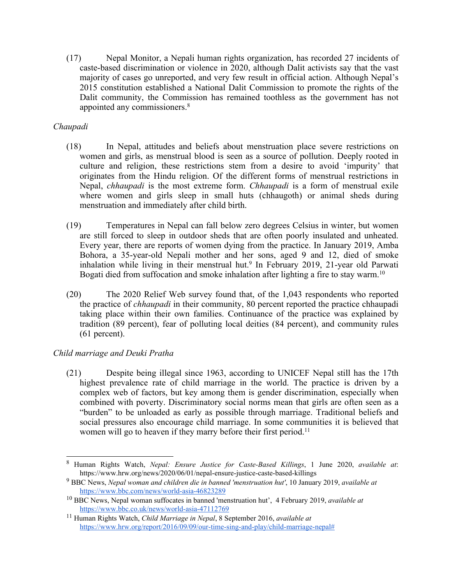(17) Nepal Monitor, <sup>a</sup> Nepali human rights organization, has recorded 27 incidents of caste-based discrimination or violence in 2020, although Dalit activists say that the vast majority of cases go unreported, and very few result in official action. Although Nepal'<sup>s</sup> 2015 constitution established <sup>a</sup> National Dalit Commission to promote the rights of the Dalit community, the Commission has remained toothless as the governmen<sup>t</sup> has not appointed any commissioners. 8

# *Chaupadi*

- (18) In Nepal, attitudes and beliefs about menstruation place severe restrictions on women and girls, as menstrual blood is seen as <sup>a</sup> source of pollution. Deeply rooted in culture and religion, these restrictions stem from <sup>a</sup> desire to avoid 'impurity' that originates from the Hindu religion. Of the different forms of menstrual restrictions in Nepal, *chhaupadi* is the most extreme form. *Chhaupadi* is <sup>a</sup> form of menstrual exile where women and girls sleep in small huts (chhaugoth) or animal sheds during menstruation and immediately after child birth.
- (19) Temperatures in Nepal can fall below zero degrees Celsius in winter, but women are still forced to sleep in outdoor sheds that are often poorly insulated and unheated. Every year, there are reports of women dying from the practice. In January 2019, Amba Bohora, <sup>a</sup> 35-year-old Nepali mother and her sons, aged 9 and 12, died of smoke inhalation while living in their menstrual hut. 9 In February 2019, 21-year old Parwati Bogati died from suffocation and smoke inhalation after lighting a fire to stay warm. $^{10}$
- (20) The 2020 Relief Web survey found that, of the 1,043 respondents who reported the practice of *chhaupadi* in their community, 80 percen<sup>t</sup> reported the practice chhaupadi taking place within their own families. Continuance of the practice was explained by tradition (89 percent), fear of polluting local deities (84 percent), and community rules (61 percent).

## *Child marriage and Deuki Pratha*

(21) Despite being illegal since 1963, according to UNICEF Nepal still has the 17th highest prevalence rate of child marriage in the world. The practice is driven by <sup>a</sup> complex web of factors, but key among them is gender discrimination, especially when combined with poverty. Discriminatory social norms mean that girls are often seen as <sup>a</sup> "burden" to be unloaded as early as possible through marriage. Traditional beliefs and social pressures also encourage child marriage. In some communities it is believed that women will go to heaven if they marry before their first period.<sup>11</sup>

<sup>8</sup> Human Rights Watch, *Nepal: Ensure Justice for Caste-Based Killings*, 1 June 2020, *available at*: https://www.hrw.org/news/2020/06/01/nepal-ensure-justice-caste-based-killings

<sup>9</sup> BBC News, *Nepal woman and children die in banned 'menstruation hut'*, 10 January 2019, *available at* <https://www.bbc.com/news/world-asia-46823289>

<sup>10</sup> BBC News, Nepal woman suffocates in banned 'menstruation hut', 4 February 2019, *available at* <https://www.bbc.co.uk/news/world-asia-47112769>

<sup>11</sup> Human Rights Watch, *Child Marriage in Nepal*, 8 September 2016, *available at* [https://www.hrw.org/report/2016/09/09/our-time-sing-and-play/child-marriage-nepal#](https://www.hrw.org/report/2016/09/09/our-time-sing-and-play/child-marriage-nepal)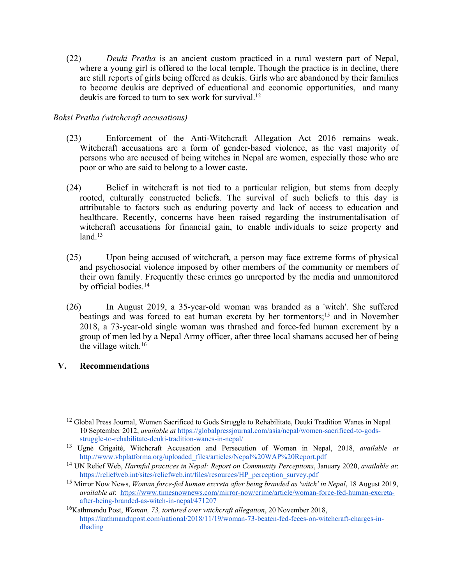(22) *Deuki Pratha* is an ancient custom practiced in <sup>a</sup> rural western par<sup>t</sup> of Nepal, where <sup>a</sup> young girl is offered to the local temple. Though the practice is in decline, there are still reports of girls being offered as deukis. Girls who are abandoned by their families to become deukis are deprived of educational and economic opportunities, and many deukis are forced to turn to sex work for survival.<sup>12</sup>

## *Boksi Pratha (witchcraft accusations)*

- (23) Enforcement of the Anti-Witchcraft Allegation Act 2016 remains weak. Witchcraft accusations are <sup>a</sup> form of gender-based violence, as the vast majority of persons who are accused of being witches in Nepal are women, especially those who are poor or who are said to belong to <sup>a</sup> lower caste.
- (24) Belief in witchcraft is not tied to <sup>a</sup> particular religion, but stems from deeply rooted, culturally constructed beliefs. The survival of such beliefs to this day is attributable to factors such as enduring poverty and lack of access to education and healthcare. Recently, concerns have been raised regarding the instrumentalisation of witchcraft accusations for financial gain, to enable individuals to seize property and land. 13
- (25) Upon being accused of witchcraft, <sup>a</sup> person may face extreme forms of physical and psychosocial violence imposed by other members of the community or members of their own family. Frequently these crimes go unreported by the media and unmonitored by official bodies. 14
- (26) In August 2019, <sup>a</sup> 35-year-old woman was branded as <sup>a</sup> 'witch'. She suffered beatings and was forced to eat human excreta by her tormentors; 15 and in November 2018, <sup>a</sup> 73-year-old single woman was thrashed and force-fed human excrement by <sup>a</sup> group of men led by <sup>a</sup> Nepal Army officer, after three local shamans accused her of being the village witch. 16

#### **V. Recommendations**

<sup>&</sup>lt;sup>12</sup> Global Press Journal, Women Sacrificed to Gods Struggle to Rehabilitate, Deuki Tradition Wanes in Nepal 10 September 2012, *available at* [https://globalpressjournal.com/asia/nepal/women-sacrificed-to-gods](https://globalpressjournal.com/asia/nepal/women-sacrificed-to-gods-struggle-to-rehabilitate-deuki-tradition-wanes-in-nepal/)[struggle-to-rehabilitate-deuki-tradition-wanes-in-nepal/](https://globalpressjournal.com/asia/nepal/women-sacrificed-to-gods-struggle-to-rehabilitate-deuki-tradition-wanes-in-nepal/)

<sup>13</sup> Ugnė Grigaitė, Witchcraft Accusation and Persecution of Women in Nepal, 2018, *available at* [http://www.vbplatforma.org/uploaded\\_files/articles/Nepal%20WAP%20Report.pdf](http://www.vbplatforma.org/uploaded_files/articles/Nepal%20WAP%20Report.pdf)

<sup>14</sup> UN Relief Web, *Harmful practices in Nepal: Report on Community Perceptions*, January 2020, *available at*: [https://reliefweb.int/sites/reliefweb.int/files/resources/HP\\_perception\\_survey.pdf](https://reliefweb.int/sites/reliefweb.int/files/resources/HP_perception_survey.pdf)

<sup>15</sup> Mirror Now News, *Woman force-fed human excreta after being branded as 'witch' in Nepal*, <sup>18</sup> August 2019, *available at*: [https://www.timesnownews.com/mirror-now/crime/article/woman-force-fed-human-excreta](https://www.timesnownews.com/mirror-now/crime/article/woman-force-fed-human-excreta-after-being-branded-as-witch-in-nepal/471207)[after-being-branded-as-witch-in-nepal/471207](https://www.timesnownews.com/mirror-now/crime/article/woman-force-fed-human-excreta-after-being-branded-as-witch-in-nepal/471207)

<sup>16</sup> Kathmandu Post, *Woman, 73, tortured over witchcraft allegation*, 20 November 2018, [https://kathmandupost.com/national/2018/11/19/woman-73-beaten-fed-feces-on-witchcraft-charges-in](https://kathmandupost.com/national/2018/11/19/woman-73-beaten-fed-feces-on-witchcraft-charges-in-dhading)[dhading](https://kathmandupost.com/national/2018/11/19/woman-73-beaten-fed-feces-on-witchcraft-charges-in-dhading)